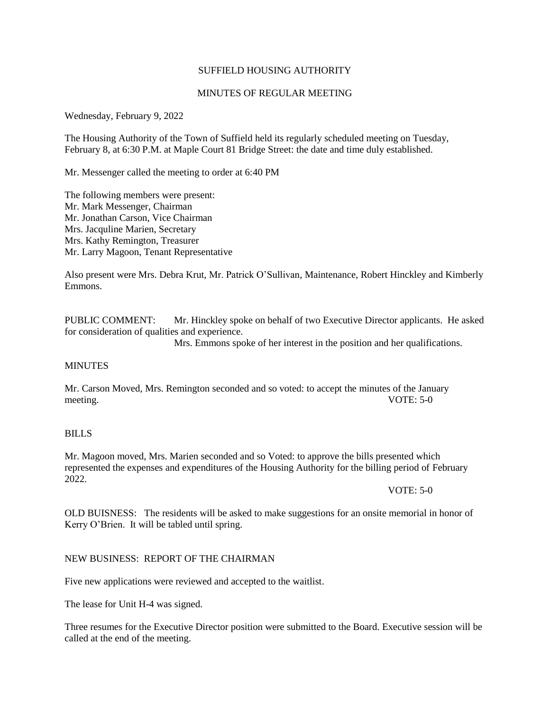# SUFFIELD HOUSING AUTHORITY

# MINUTES OF REGULAR MEETING

Wednesday, February 9, 2022

The Housing Authority of the Town of Suffield held its regularly scheduled meeting on Tuesday, February 8, at 6:30 P.M. at Maple Court 81 Bridge Street: the date and time duly established.

Mr. Messenger called the meeting to order at 6:40 PM

The following members were present: Mr. Mark Messenger, Chairman Mr. Jonathan Carson, Vice Chairman Mrs. Jacquline Marien, Secretary Mrs. Kathy Remington, Treasurer Mr. Larry Magoon, Tenant Representative

Also present were Mrs. Debra Krut, Mr. Patrick O'Sullivan, Maintenance, Robert Hinckley and Kimberly Emmons.

PUBLIC COMMENT: Mr. Hinckley spoke on behalf of two Executive Director applicants. He asked for consideration of qualities and experience.

Mrs. Emmons spoke of her interest in the position and her qualifications.

### **MINUTES**

Mr. Carson Moved, Mrs. Remington seconded and so voted: to accept the minutes of the January meeting. VOTE: 5-0

#### BILLS

Mr. Magoon moved, Mrs. Marien seconded and so Voted: to approve the bills presented which represented the expenses and expenditures of the Housing Authority for the billing period of February 2022.

VOTE: 5-0

OLD BUISNESS: The residents will be asked to make suggestions for an onsite memorial in honor of Kerry O'Brien. It will be tabled until spring.

# NEW BUSINESS: REPORT OF THE CHAIRMAN

Five new applications were reviewed and accepted to the waitlist.

The lease for Unit H-4 was signed.

Three resumes for the Executive Director position were submitted to the Board. Executive session will be called at the end of the meeting.